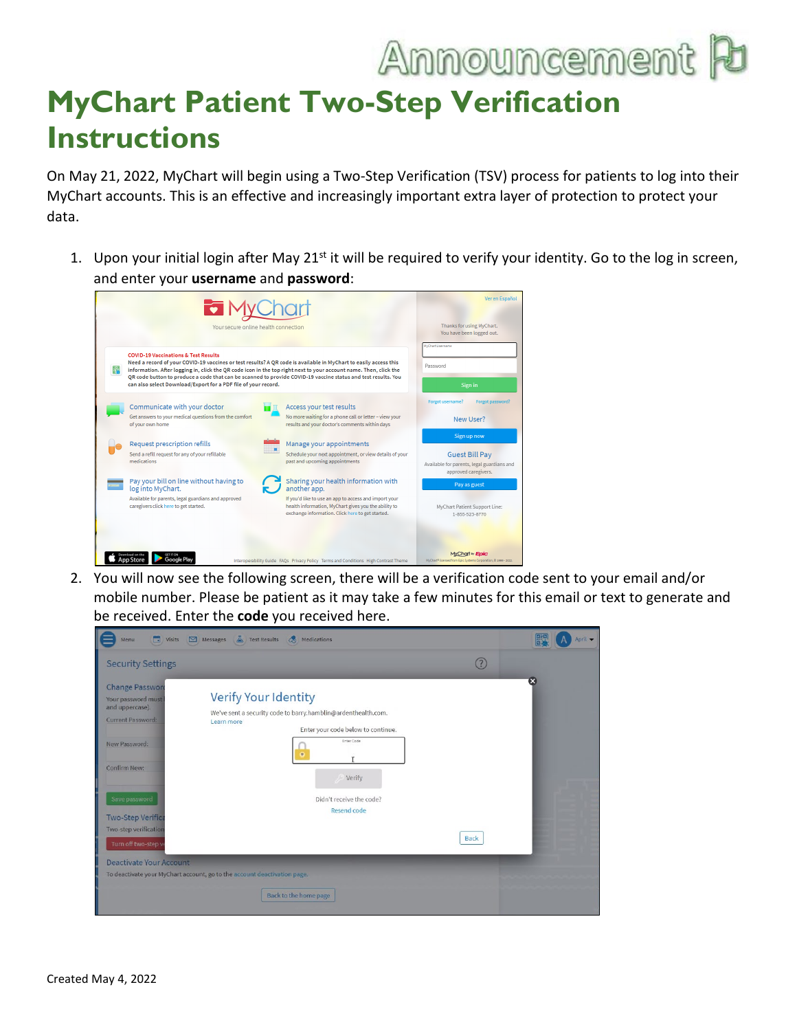## Announcement F

## **MyChart Patient Two-Step Verification Instructions**

On May 21, 2022, MyChart will begin using a Two-Step Verification (TSV) process for patients to log into their MyChart accounts. This is an effective and increasingly important extra layer of protection to protect your data.

1. Upon your initial login after May 21<sup>st</sup> it will be required to verify your identity. Go to the log in screen, and enter your **username** and **password**:



2. You will now see the following screen, there will be a verification code sent to your email and/or mobile number. Please be patient as it may take a few minutes for this email or text to generate and be received. Enter the **code** you received here.

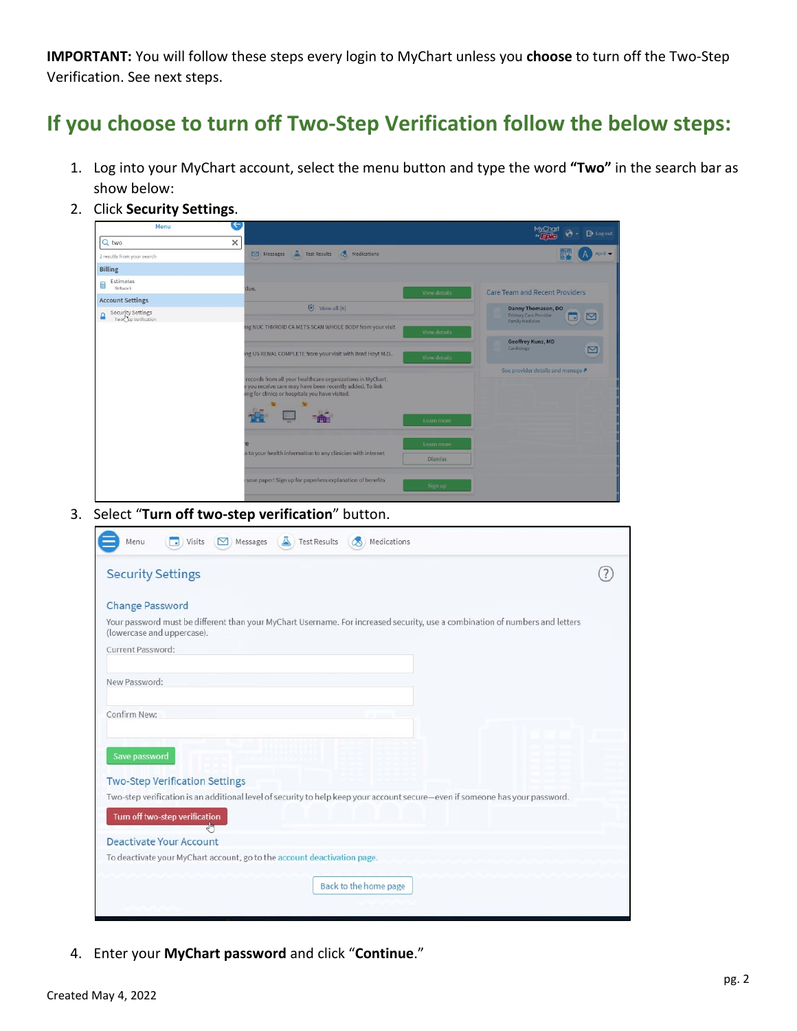**IMPORTANT:** You will follow these steps every login to MyChart unless you **choose** to turn off the Two-Step Verification. See next steps.

## **If you choose to turn off Two-Step Verification follow the below steps:**

- 1. Log into your MyChart account, select the menu button and type the word **"Two"** in the search bar as show below:
- 2. Click **Security Settings**.



3. Select "**Turn off two-step verification**" button.

| <b>Security Settings</b>                                                                                                                                   |  |
|------------------------------------------------------------------------------------------------------------------------------------------------------------|--|
| <b>Change Password</b>                                                                                                                                     |  |
| Your password must be different than your MyChart Username. For increased security, use a combination of numbers and letters<br>(lowercase and uppercase). |  |
| Current Password:                                                                                                                                          |  |
| New Password:                                                                                                                                              |  |
| Confirm New:                                                                                                                                               |  |
| Save password                                                                                                                                              |  |
| <b>Two-Step Verification Settings</b>                                                                                                                      |  |
| Two-step verification is an additional level of security to help keep your account secure-even if someone has your password.                               |  |
| Turn off two-step verification                                                                                                                             |  |
| <b>Deactivate Your Account</b>                                                                                                                             |  |
| To deactivate your MyChart account, go to the account deactivation page.                                                                                   |  |
|                                                                                                                                                            |  |

4. Enter your **MyChart password** and click "**Continue**."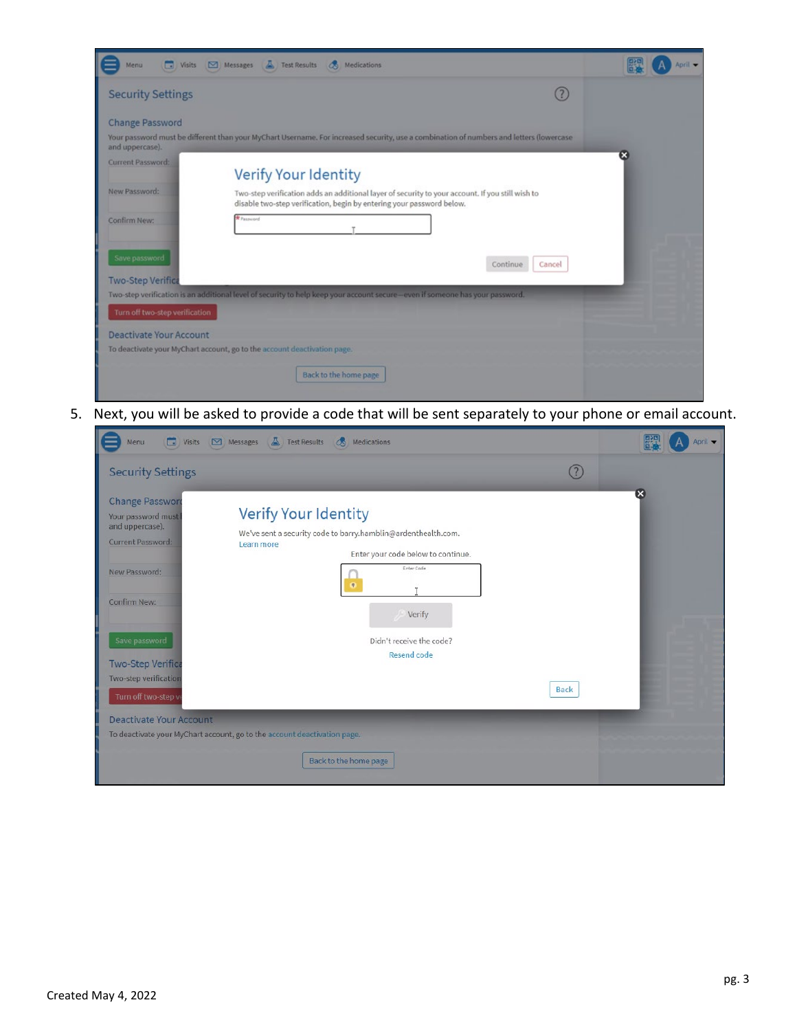| œ<br>Visits<br>Menu            | A.<br><b>Test Results</b><br><b>B</b><br>Medications<br>Messages                                                                                                          | April v |
|--------------------------------|---------------------------------------------------------------------------------------------------------------------------------------------------------------------------|---------|
| <b>Security Settings</b>       |                                                                                                                                                                           |         |
| <b>Change Password</b>         |                                                                                                                                                                           |         |
| and uppercase).                | Your password must be different than your MyChart Username. For increased security, use a combination of numbers and letters (lowercase                                   |         |
| Current Password:              | Verify Your Identity                                                                                                                                                      | ×       |
| New Password:                  | Two-step verification adds an additional layer of security to your account. If you still wish to<br>disable two-step verification, begin by entering your password below. |         |
| Confirm New:                   | Password                                                                                                                                                                  |         |
| Save password                  | Continue<br>Cancel                                                                                                                                                        |         |
| <b>Two-Step Verifica</b>       | Two-step verification is an additional level of security to help keep your account secure—even if someone has your password.                                              |         |
| Turn off two-step verification |                                                                                                                                                                           |         |
| <b>Deactivate Your Account</b> |                                                                                                                                                                           |         |
|                                | To deactivate your MyChart account, go to the account deactivation page.                                                                                                  |         |
|                                | Back to the home page                                                                                                                                                     |         |

5. Next, you will be asked to provide a code that will be sent separately to your phone or email account.

| <b>D</b> Visits<br>Menu                                                                                                                                                                                                   | Messages A Test Results<br><b>&amp;</b> Medications                                                                                                                                                          |             | April -                 |
|---------------------------------------------------------------------------------------------------------------------------------------------------------------------------------------------------------------------------|--------------------------------------------------------------------------------------------------------------------------------------------------------------------------------------------------------------|-------------|-------------------------|
| <b>Security Settings</b>                                                                                                                                                                                                  |                                                                                                                                                                                                              |             |                         |
| <b>Change Password</b><br>Your password must<br>and uppercase).<br>Current Password:<br>New Password:<br><b>Confirm New:</b><br>Save password<br><b>Two-Step Verifica</b><br>Two-step verification<br>Turn off two-step v | Verify Your Identity<br>We've sent a security code to barry.hamblin@ardenthealth.com.<br>Learn more<br>Enter your code below to continue.<br>Enter Code<br>Verify<br>Didn't receive the code?<br>Resend code | <b>Back</b> | $\overline{\mathbf{x}}$ |
| <b>Deactivate Your Account</b>                                                                                                                                                                                            | To deactivate your MyChart account, go to the account deactivation page.                                                                                                                                     |             |                         |
|                                                                                                                                                                                                                           | Back to the home page                                                                                                                                                                                        |             |                         |